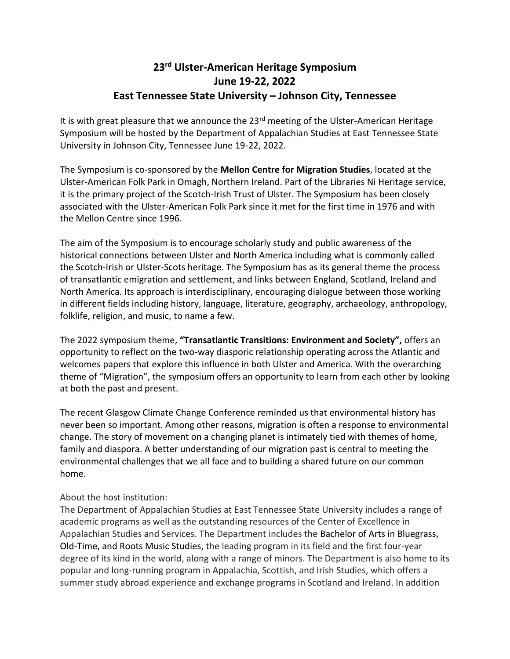## **23rd Ulster-American Heritage Symposium June 19-22, 2022 East Tennessee State University – Johnson City, Tennessee**

It is with great pleasure that we announce the  $23<sup>rd</sup>$  meeting of the Ulster-American Heritage Symposium will be hosted by the Department of Appalachian Studies at East Tennessee State University in Johnson City, Tennessee June 19-22, 2022.

The Symposium is co-sponsored by the **Mellon Centre for Migration Studies**, located at the Ulster-American Folk Park in Omagh, Northern Ireland. Part of the Libraries Ni Heritage service, it is the primary project of the Scotch-Irish Trust of Ulster. The Symposium has been closely associated with the Ulster-American Folk Park since it met for the first time in 1976 and with the Mellon Centre since 1996.

The aim of the Symposium is to encourage scholarly study and public awareness of the historical connections between Ulster and North America including what is commonly called the Scotch-Irish or Ulster-Scots heritage. The Symposium has as its general theme the process of transatlantic emigration and settlement, and links between England, Scotland, Ireland and North America. Its approach is interdisciplinary, encouraging dialogue between those working in different fields including history, language, literature, geography, archaeology, anthropology, folklife, religion, and music, to name a few.

The 2022 symposium theme, **"Transatlantic Transitions: Environment and Society",** offers an opportunity to reflect on the two-way diasporic relationship operating across the Atlantic and welcomes papers that explore this influence in both Ulster and America. With the overarching theme of "Migration", the symposium offers an opportunity to learn from each other by looking at both the past and present.

The recent Glasgow Climate Change Conference reminded us that environmental history has never been so important. Among other reasons, migration is often a response to environmental change. The story of movement on a changing planet is intimately tied with themes of home, family and diaspora. A better understanding of our migration past is central to meeting the environmental challenges that we all face and to building a shared future on our common home.

## About the host institution:

The Department of Appalachian Studies at East Tennessee State University includes a range of academic programs as well as the outstanding resources of the Center of Excellence in Appalachian Studies and Services. The Department includes the Bachelor of Arts in Bluegrass, Old-Time, and Roots Music Studies, the leading program in its field and the first four-year degree of its kind in the world, along with a range of minors. The Department is also home to its popular and long-running program in Appalachia, Scottish, and Irish Studies, which offers a summer study abroad experience and exchange programs in Scotland and Ireland. In addition